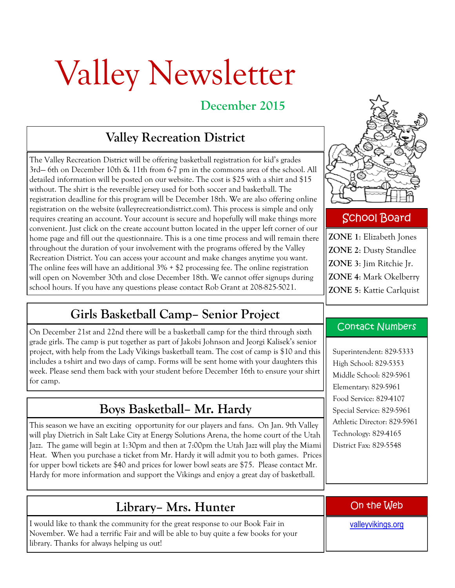# Valley Newsletter

## **December 2015**

# **Valley Recreation District**

The Valley Recreation District will be offering basketball registration for kid's grades 3rd— 6th on December 10th & 11th from 6-7 pm in the commons area of the school. All detailed information will be posted on our website. The cost is \$25 with a shirt and \$15 without. The shirt is the reversible jersey used for both soccer and basketball. The registration deadline for this program will be December 18th. We are also offering online registration on the website (valleyrecreationdistrict.com). This process is simple and only requires creating an account. Your account is secure and hopefully will make things more convenient. Just click on the create account button located in the upper left corner of our home page and fill out the questionnaire. This is a one time process and will remain there throughout the duration of your involvement with the programs offered by the Valley Recreation District. You can access your account and make changes anytime you want. The online fees will have an additional 3% + \$2 processing fee. The online registration will open on November 30th and close December 18th. We cannot offer signups during school hours. If you have any questions please contact Rob Grant at 208-825-5021.

### **Girls Basketball Camp– Senior Project**

On December 21st and 22nd there will be a basketball camp for the third through sixth grade girls. The camp is put together as part of Jakobi Johnson and Jeorgi Kalisek's senior project, with help from the Lady Vikings basketball team. The cost of camp is \$10 and this includes a t-shirt and two days of camp. Forms will be sent home with your daughters this week. Please send them back with your student before December 16th to ensure your shirt for camp.

# **Boys Basketball– Mr. Hardy**

This season we have an exciting opportunity for our players and fans. On Jan. 9th Valley will play Dietrich in Salt Lake City at Energy Solutions Arena, the home court of the Utah Jazz. The game will begin at 1:30pm and then at 7:00pm the Utah Jazz will play the Miami Heat. When you purchase a ticket from Mr. Hardy it will admit you to both games. Prices for upper bowl tickets are \$40 and prices for lower bowl seats are \$75. Please contact Mr. Hardy for more information and support the Vikings and enjoy a great day of basketball.

#### **Library– Mrs. Hunter**

I would like to thank the community for the great response to our Book Fair in November. We had a terrific Fair and will be able to buy quite a few books for your library. Thanks for always helping us out!



#### School Board

**ZONE 1**: Elizabeth Jones **ZONE 2**: Dusty Standlee **ZONE 3**: Jim Ritchie Jr. **ZONE 4**: Mark Okelberry **ZONE 5**: Kattie Carlquist

#### Contact Numbers

Superintendent: 829-5333 High School: 829-5353 Middle School: 829-5961 Elementary: 829-5961 Food Service: 829-4107 Special Service: 829-5961 Athletic Director: 829-5961 Technology: 829-4165 District Fax: 829-5548

On the Web

[valleyvikings.org](http://www.valleyvikings.org/)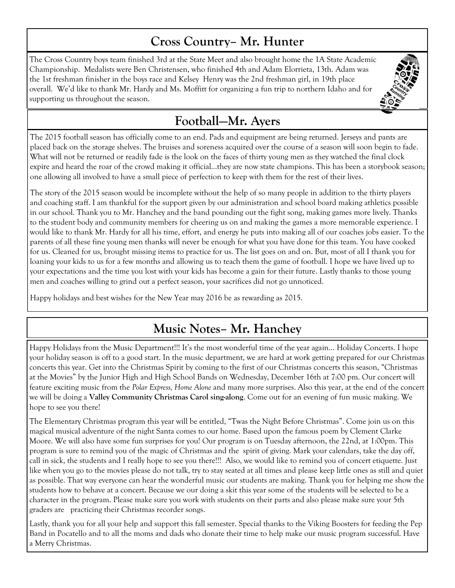## **Cross Country– Mr. Hunter**

The Cross Country boys team finished 3rd at the State Meet and also brought home the 1A State Academic Championship. Medalists were Ben Christensen, who finished 4th and Adam Elorrieta, 13th. Adam was the 1st freshman finisher in the boys race and Kelsey Henry was the 2nd freshman girl, in 19th place overall. We'd like to thank Mr. Hardy and Ms. Moffitt for organizing a fun trip to northern Idaho and for supporting us throughout the season.

# **Football—Mr. Ayers**

The 2015 football season has officially come to an end. Pads and equipment are being returned. Jerseys and pants are placed back on the storage shelves. The bruises and soreness acquired over the course of a season will soon begin to fade. What will not be returned or readily fade is the look on the faces of thirty young men as they watched the final clock expire and heard the roar of the crowd making it official…they are now state champions. This has been a storybook season; one allowing all involved to have a small piece of perfection to keep with them for the rest of their lives.

The story of the 2015 season would be incomplete without the help of so many people in addition to the thirty players and coaching staff. I am thankful for the support given by our administration and school board making athletics possible in our school. Thank you to Mr. Hanchey and the band pounding out the fight song, making games more lively. Thanks to the student body and community members for cheering us on and making the games a more memorable experience. I would like to thank Mr. Hardy for all his time, effort, and energy he puts into making all of our coaches jobs easier. To the parents of all these fine young men thanks will never be enough for what you have done for this team. You have cooked for us. Cleaned for us, brought missing items to practice for us. The list goes on and on. But, most of all I thank you for loaning your kids to us for a few months and allowing us to teach them the game of football. I hope we have lived up to your expectations and the time you lost with your kids has become a gain for their future. Lastly thanks to those young men and coaches willing to grind out a perfect season, your sacrifices did not go unnoticed.

Happy holidays and best wishes for the New Year may 2016 be as rewarding as 2015.

# **Music Notes– Mr. Hanchey**

Happy Holidays from the Music Department!!! It's the most wonderful time of the year again… Holiday Concerts. I hope your holiday season is off to a good start. In the music department, we are hard at work getting prepared for our Christmas concerts this year. Get into the Christmas Spirit by coming to the first of our Christmas concerts this season, "Christmas at the Movies" by the Junior High and High School Bands on Wednesday, December 16th at 7:00 pm. Our concert will feature exciting music from the *Polar Express, Home Alone* and many more surprises. Also this year, at the end of the concert we will be doing a **Valley Community Christmas Carol sing-along**. Come out for an evening of fun music making. We hope to see you there!

The Elementary Christmas program this year will be entitled, "Twas the Night Before Christmas". Come join us on this magical musical adventure of the night Santa comes to our home. Based upon the famous poem by Clement Clarke Moore. We will also have some fun surprises for you! Our program is on Tuesday afternoon, the 22nd, at 1:00pm. This program is sure to remind you of the magic of Christmas and the spirit of giving. Mark your calendars, take the day off, call in sick, the students and I really hope to see you there!!! Also, we would like to remind you of concert etiquette. Just like when you go to the movies please do not talk, try to stay seated at all times and please keep little ones as still and quiet as possible. That way everyone can hear the wonderful music our students are making. Thank you for helping me show the students how to behave at a concert. Because we our doing a skit this year some of the students will be selected to be a character in the program. Please make sure you work with students on their parts and also please make sure your 5th graders are practicing their Christmas recorder songs.

Lastly, thank you for all your help and support this fall semester. Special thanks to the Viking Boosters for feeding the Pep Band in Pocatello and to all the moms and dads who donate their time to help make our music program successful. Have a Merry Christmas.